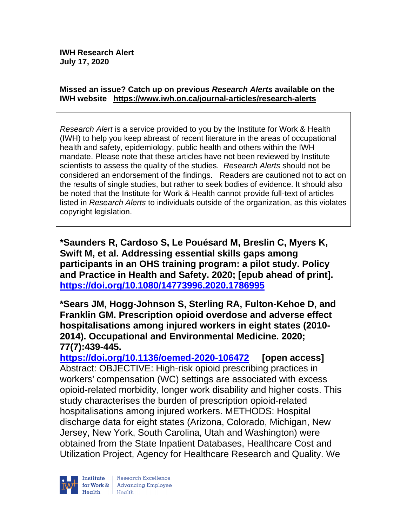#### **Missed an issue? Catch up on previous** *Research Alerts* **available on the [IWH website](http://www.iwh.on.ca/research-alerts) <https://www.iwh.on.ca/journal-articles/research-alerts>**

*Research Alert* is a service provided to you by the Institute for Work & Health (IWH) to help you keep abreast of recent literature in the areas of occupational health and safety, epidemiology, public health and others within the IWH mandate. Please note that these articles have not been reviewed by Institute scientists to assess the quality of the studies. *Research Alerts* should not be considered an endorsement of the findings. Readers are cautioned not to act on the results of single studies, but rather to seek bodies of evidence. It should also be noted that the Institute for Work & Health cannot provide full-text of articles listed in *Research Alerts* to individuals outside of the organization, as this violates copyright legislation.

**\*Saunders R, Cardoso S, Le Pouésard M, Breslin C, Myers K, Swift M, et al. Addressing essential skills gaps among participants in an OHS training program: a pilot study. Policy and Practice in Health and Safety. 2020; [epub ahead of print]. <https://doi.org/10.1080/14773996.2020.1786995>** 

**\*Sears JM, Hogg-Johnson S, Sterling RA, Fulton-Kehoe D, and Franklin GM. Prescription opioid overdose and adverse effect hospitalisations among injured workers in eight states (2010- 2014). Occupational and Environmental Medicine. 2020; 77(7):439-445.** 

**<https://doi.org/10.1136/oemed-2020-106472> [open access]** Abstract: OBJECTIVE: High-risk opioid prescribing practices in workers' compensation (WC) settings are associated with excess opioid-related morbidity, longer work disability and higher costs. This study characterises the burden of prescription opioid-related hospitalisations among injured workers. METHODS: Hospital discharge data for eight states (Arizona, Colorado, Michigan, New Jersey, New York, South Carolina, Utah and Washington) were obtained from the State Inpatient Databases, Healthcare Cost and Utilization Project, Agency for Healthcare Research and Quality. We

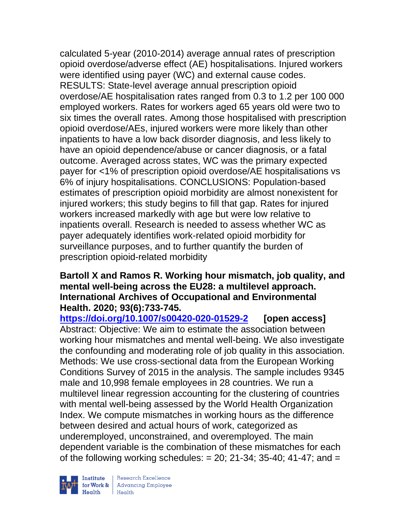calculated 5-year (2010-2014) average annual rates of prescription opioid overdose/adverse effect (AE) hospitalisations. Injured workers were identified using payer (WC) and external cause codes. RESULTS: State-level average annual prescription opioid overdose/AE hospitalisation rates ranged from 0.3 to 1.2 per 100 000 employed workers. Rates for workers aged 65 years old were two to six times the overall rates. Among those hospitalised with prescription opioid overdose/AEs, injured workers were more likely than other inpatients to have a low back disorder diagnosis, and less likely to have an opioid dependence/abuse or cancer diagnosis, or a fatal outcome. Averaged across states, WC was the primary expected payer for <1% of prescription opioid overdose/AE hospitalisations vs 6% of injury hospitalisations. CONCLUSIONS: Population-based estimates of prescription opioid morbidity are almost nonexistent for injured workers; this study begins to fill that gap. Rates for injured workers increased markedly with age but were low relative to inpatients overall. Research is needed to assess whether WC as payer adequately identifies work-related opioid morbidity for surveillance purposes, and to further quantify the burden of prescription opioid-related morbidity

#### **Bartoll X and Ramos R. Working hour mismatch, job quality, and mental well-being across the EU28: a multilevel approach. International Archives of Occupational and Environmental Health. 2020; 93(6):733-745.**

**<https://doi.org/10.1007/s00420-020-01529-2> [open access]** Abstract: Objective: We aim to estimate the association between working hour mismatches and mental well-being. We also investigate the confounding and moderating role of job quality in this association. Methods: We use cross-sectional data from the European Working Conditions Survey of 2015 in the analysis. The sample includes 9345 male and 10,998 female employees in 28 countries. We run a multilevel linear regression accounting for the clustering of countries with mental well-being assessed by the World Health Organization Index. We compute mismatches in working hours as the difference between desired and actual hours of work, categorized as underemployed, unconstrained, and overemployed. The main dependent variable is the combination of these mismatches for each of the following working schedules:  $= 20$ ; 21-34; 35-40; 41-47; and  $=$ 

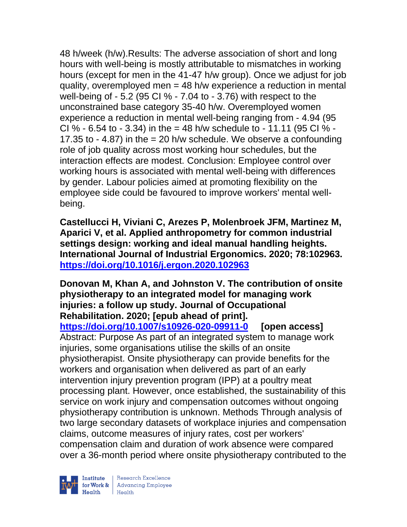48 h/week (h/w).Results: The adverse association of short and long hours with well-being is mostly attributable to mismatches in working hours (except for men in the 41-47 h/w group). Once we adjust for job quality, overemployed men = 48 h/w experience a reduction in mental well-being of - 5.2 (95 CI % - 7.04 to - 3.76) with respect to the unconstrained base category 35-40 h/w. Overemployed women experience a reduction in mental well-being ranging from - 4.94 (95 CI % - 6.54 to - 3.34) in the = 48 h/w schedule to - 11.11 (95 CI % -17.35 to  $-$  4.87) in the  $=$  20 h/w schedule. We observe a confounding role of job quality across most working hour schedules, but the interaction effects are modest. Conclusion: Employee control over working hours is associated with mental well-being with differences by gender. Labour policies aimed at promoting flexibility on the employee side could be favoured to improve workers' mental wellbeing.

**Castellucci H, Viviani C, Arezes P, Molenbroek JFM, Martinez M, Aparici V, et al. Applied anthropometry for common industrial settings design: working and ideal manual handling heights. International Journal of Industrial Ergonomics. 2020; 78:102963. <https://doi.org/10.1016/j.ergon.2020.102963>** 

**Donovan M, Khan A, and Johnston V. The contribution of onsite physiotherapy to an integrated model for managing work injuries: a follow up study. Journal of Occupational Rehabilitation. 2020; [epub ahead of print].**

**<https://doi.org/10.1007/s10926-020-09911-0> [open access]** Abstract: Purpose As part of an integrated system to manage work injuries, some organisations utilise the skills of an onsite physiotherapist. Onsite physiotherapy can provide benefits for the workers and organisation when delivered as part of an early intervention injury prevention program (IPP) at a poultry meat processing plant. However, once established, the sustainability of this service on work injury and compensation outcomes without ongoing physiotherapy contribution is unknown. Methods Through analysis of two large secondary datasets of workplace injuries and compensation claims, outcome measures of injury rates, cost per workers' compensation claim and duration of work absence were compared over a 36-month period where onsite physiotherapy contributed to the

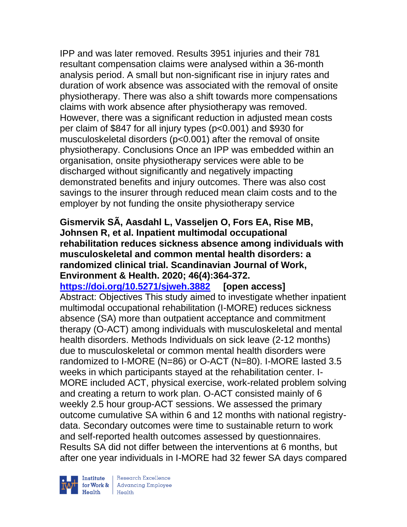IPP and was later removed. Results 3951 injuries and their 781 resultant compensation claims were analysed within a 36-month analysis period. A small but non-significant rise in injury rates and duration of work absence was associated with the removal of onsite physiotherapy. There was also a shift towards more compensations claims with work absence after physiotherapy was removed. However, there was a significant reduction in adjusted mean costs per claim of \$847 for all injury types (p<0.001) and \$930 for musculoskeletal disorders (p<0.001) after the removal of onsite physiotherapy. Conclusions Once an IPP was embedded within an organisation, onsite physiotherapy services were able to be discharged without significantly and negatively impacting demonstrated benefits and injury outcomes. There was also cost savings to the insurer through reduced mean claim costs and to the employer by not funding the onsite physiotherapy service

**Gismervik SÃ, Aasdahl L, Vasseljen O, Fors EA, Rise MB, Johnsen R, et al. Inpatient multimodal occupational rehabilitation reduces sickness absence among individuals with musculoskeletal and common mental health disorders: a randomized clinical trial. Scandinavian Journal of Work, Environment & Health. 2020; 46(4):364-372. <https://doi.org/10.5271/sjweh.3882> [open access]** Abstract: Objectives This study aimed to investigate whether inpatient multimodal occupational rehabilitation (I-MORE) reduces sickness absence (SA) more than outpatient acceptance and commitment therapy (O-ACT) among individuals with musculoskeletal and mental health disorders. Methods Individuals on sick leave (2-12 months) due to musculoskeletal or common mental health disorders were randomized to I-MORE (N=86) or O-ACT (N=80). I-MORE lasted 3.5 weeks in which participants stayed at the rehabilitation center. I-MORE included ACT, physical exercise, work-related problem solving and creating a return to work plan. O-ACT consisted mainly of 6 weekly 2.5 hour group-ACT sessions. We assessed the primary outcome cumulative SA within 6 and 12 months with national registrydata. Secondary outcomes were time to sustainable return to work and self-reported health outcomes assessed by questionnaires. Results SA did not differ between the interventions at 6 months, but after one year individuals in I-MORE had 32 fewer SA days compared

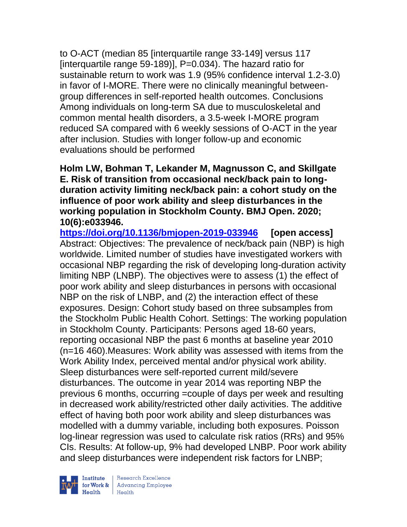to O-ACT (median 85 [interquartile range 33-149] versus 117 [interquartile range 59-189)], P=0.034). The hazard ratio for sustainable return to work was 1.9 (95% confidence interval 1.2-3.0) in favor of I-MORE. There were no clinically meaningful betweengroup differences in self-reported health outcomes. Conclusions Among individuals on long-term SA due to musculoskeletal and common mental health disorders, a 3.5-week I-MORE program reduced SA compared with 6 weekly sessions of O-ACT in the year after inclusion. Studies with longer follow-up and economic evaluations should be performed

### **Holm LW, Bohman T, Lekander M, Magnusson C, and Skillgate E. Risk of transition from occasional neck/back pain to longduration activity limiting neck/back pain: a cohort study on the influence of poor work ability and sleep disturbances in the working population in Stockholm County. BMJ Open. 2020; 10(6):e033946.**

**<https://doi.org/10.1136/bmjopen-2019-033946> [open access]** Abstract: Objectives: The prevalence of neck/back pain (NBP) is high worldwide. Limited number of studies have investigated workers with occasional NBP regarding the risk of developing long-duration activity limiting NBP (LNBP). The objectives were to assess (1) the effect of poor work ability and sleep disturbances in persons with occasional NBP on the risk of LNBP, and (2) the interaction effect of these exposures. Design: Cohort study based on three subsamples from the Stockholm Public Health Cohort. Settings: The working population in Stockholm County. Participants: Persons aged 18-60 years, reporting occasional NBP the past 6 months at baseline year 2010 (n=16 460).Measures: Work ability was assessed with items from the Work Ability Index, perceived mental and/or physical work ability. Sleep disturbances were self-reported current mild/severe disturbances. The outcome in year 2014 was reporting NBP the previous 6 months, occurring =couple of days per week and resulting in decreased work ability/restricted other daily activities. The additive effect of having both poor work ability and sleep disturbances was modelled with a dummy variable, including both exposures. Poisson log-linear regression was used to calculate risk ratios (RRs) and 95% CIs. Results: At follow-up, 9% had developed LNBP. Poor work ability and sleep disturbances were independent risk factors for LNBP;



 $\begin{tabular}{|l|} Institute & Research Excellence \\ \hline for Work & Advancing Employee \\ Health & Health \\ \end{tabular}$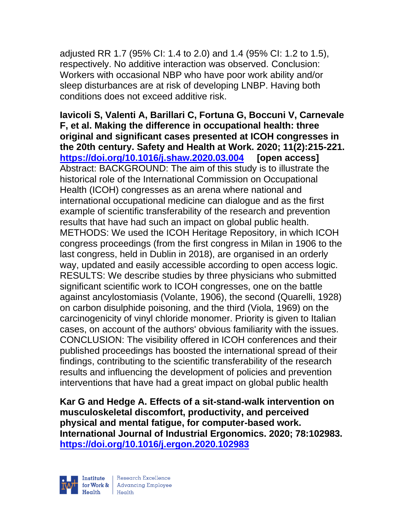adjusted RR 1.7 (95% CI: 1.4 to 2.0) and 1.4 (95% CI: 1.2 to 1.5), respectively. No additive interaction was observed. Conclusion: Workers with occasional NBP who have poor work ability and/or sleep disturbances are at risk of developing LNBP. Having both conditions does not exceed additive risk.

**Iavicoli S, Valenti A, Barillari C, Fortuna G, Boccuni V, Carnevale F, et al. Making the difference in occupational health: three original and significant cases presented at ICOH congresses in the 20th century. Safety and Health at Work. 2020; 11(2):215-221. <https://doi.org/10.1016/j.shaw.2020.03.004> [open access]** Abstract: BACKGROUND: The aim of this study is to illustrate the historical role of the International Commission on Occupational Health (ICOH) congresses as an arena where national and international occupational medicine can dialogue and as the first example of scientific transferability of the research and prevention results that have had such an impact on global public health. METHODS: We used the ICOH Heritage Repository, in which ICOH congress proceedings (from the first congress in Milan in 1906 to the last congress, held in Dublin in 2018), are organised in an orderly way, updated and easily accessible according to open access logic. RESULTS: We describe studies by three physicians who submitted significant scientific work to ICOH congresses, one on the battle against ancylostomiasis (Volante, 1906), the second (Quarelli, 1928) on carbon disulphide poisoning, and the third (Viola, 1969) on the carcinogenicity of vinyl chloride monomer. Priority is given to Italian cases, on account of the authors' obvious familiarity with the issues. CONCLUSION: The visibility offered in ICOH conferences and their published proceedings has boosted the international spread of their findings, contributing to the scientific transferability of the research results and influencing the development of policies and prevention interventions that have had a great impact on global public health

**Kar G and Hedge A. Effects of a sit-stand-walk intervention on musculoskeletal discomfort, productivity, and perceived physical and mental fatigue, for computer-based work. International Journal of Industrial Ergonomics. 2020; 78:102983. <https://doi.org/10.1016/j.ergon.2020.102983>** 



| Research Excellence for Work & Advancing Employee<br>Health Health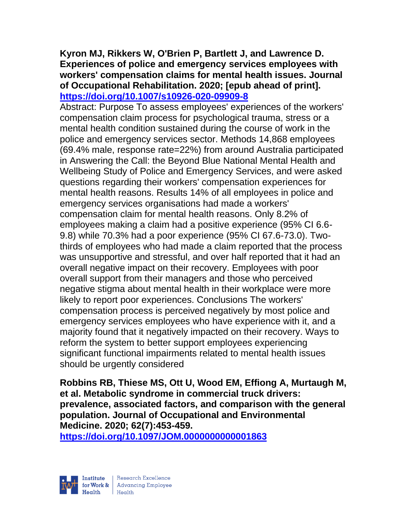#### **Kyron MJ, Rikkers W, O'Brien P, Bartlett J, and Lawrence D. Experiences of police and emergency services employees with workers' compensation claims for mental health issues. Journal of Occupational Rehabilitation. 2020; [epub ahead of print]. <https://doi.org/10.1007/s10926-020-09909-8>**

Abstract: Purpose To assess employees' experiences of the workers' compensation claim process for psychological trauma, stress or a mental health condition sustained during the course of work in the police and emergency services sector. Methods 14,868 employees (69.4% male, response rate=22%) from around Australia participated in Answering the Call: the Beyond Blue National Mental Health and Wellbeing Study of Police and Emergency Services, and were asked questions regarding their workers' compensation experiences for mental health reasons. Results 14% of all employees in police and emergency services organisations had made a workers' compensation claim for mental health reasons. Only 8.2% of employees making a claim had a positive experience (95% CI 6.6- 9.8) while 70.3% had a poor experience (95% CI 67.6-73.0). Twothirds of employees who had made a claim reported that the process was unsupportive and stressful, and over half reported that it had an overall negative impact on their recovery. Employees with poor overall support from their managers and those who perceived negative stigma about mental health in their workplace were more likely to report poor experiences. Conclusions The workers' compensation process is perceived negatively by most police and emergency services employees who have experience with it, and a majority found that it negatively impacted on their recovery. Ways to reform the system to better support employees experiencing significant functional impairments related to mental health issues should be urgently considered

**Robbins RB, Thiese MS, Ott U, Wood EM, Effiong A, Murtaugh M, et al. Metabolic syndrome in commercial truck drivers: prevalence, associated factors, and comparison with the general population. Journal of Occupational and Environmental Medicine. 2020; 62(7):453-459.** 

**<https://doi.org/10.1097/JOM.0000000000001863>** 

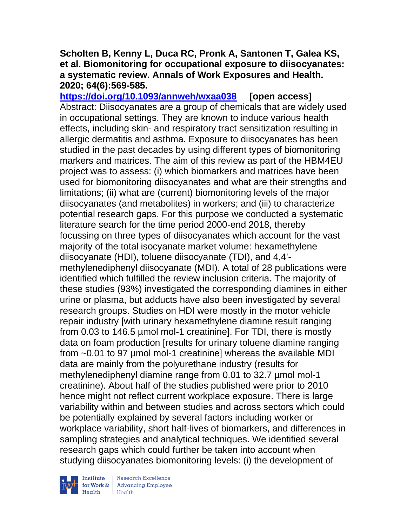#### **Scholten B, Kenny L, Duca RC, Pronk A, Santonen T, Galea KS, et al. Biomonitoring for occupational exposure to diisocyanates: a systematic review. Annals of Work Exposures and Health. 2020; 64(6):569-585.**

**<https://doi.org/10.1093/annweh/wxaa038> [open access]** Abstract: Diisocyanates are a group of chemicals that are widely used in occupational settings. They are known to induce various health effects, including skin- and respiratory tract sensitization resulting in allergic dermatitis and asthma. Exposure to diisocyanates has been studied in the past decades by using different types of biomonitoring markers and matrices. The aim of this review as part of the HBM4EU project was to assess: (i) which biomarkers and matrices have been used for biomonitoring diisocyanates and what are their strengths and limitations; (ii) what are (current) biomonitoring levels of the major diisocyanates (and metabolites) in workers; and (iii) to characterize potential research gaps. For this purpose we conducted a systematic literature search for the time period 2000-end 2018, thereby focussing on three types of diisocyanates which account for the vast majority of the total isocyanate market volume: hexamethylene diisocyanate (HDI), toluene diisocyanate (TDI), and 4,4' methylenediphenyl diisocyanate (MDI). A total of 28 publications were identified which fulfilled the review inclusion criteria. The majority of these studies (93%) investigated the corresponding diamines in either urine or plasma, but adducts have also been investigated by several research groups. Studies on HDI were mostly in the motor vehicle repair industry [with urinary hexamethylene diamine result ranging from 0.03 to 146.5 µmol mol-1 creatinine]. For TDI, there is mostly data on foam production [results for urinary toluene diamine ranging from ~0.01 to 97 µmol mol-1 creatinine] whereas the available MDI data are mainly from the polyurethane industry (results for methylenediphenyl diamine range from 0.01 to 32.7 µmol mol-1 creatinine). About half of the studies published were prior to 2010 hence might not reflect current workplace exposure. There is large variability within and between studies and across sectors which could be potentially explained by several factors including worker or workplace variability, short half-lives of biomarkers, and differences in sampling strategies and analytical techniques. We identified several research gaps which could further be taken into account when studying diisocyanates biomonitoring levels: (i) the development of

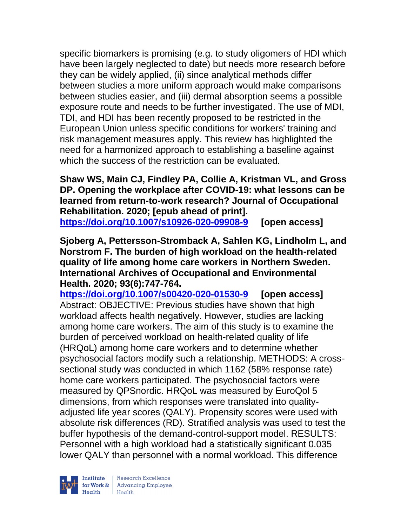specific biomarkers is promising (e.g. to study oligomers of HDI which have been largely neglected to date) but needs more research before they can be widely applied, (ii) since analytical methods differ between studies a more uniform approach would make comparisons between studies easier, and (iii) dermal absorption seems a possible exposure route and needs to be further investigated. The use of MDI, TDI, and HDI has been recently proposed to be restricted in the European Union unless specific conditions for workers' training and risk management measures apply. This review has highlighted the need for a harmonized approach to establishing a baseline against which the success of the restriction can be evaluated.

**Shaw WS, Main CJ, Findley PA, Collie A, Kristman VL, and Gross DP. Opening the workplace after COVID-19: what lessons can be learned from return-to-work research? Journal of Occupational Rehabilitation. 2020; [epub ahead of print]. <https://doi.org/10.1007/s10926-020-09908-9> [open access]**

**Sjoberg A, Pettersson-Stromback A, Sahlen KG, Lindholm L, and Norstrom F. The burden of high workload on the health-related quality of life among home care workers in Northern Sweden. International Archives of Occupational and Environmental Health. 2020; 93(6):747-764.** 

**<https://doi.org/10.1007/s00420-020-01530-9> [open access]** Abstract: OBJECTIVE: Previous studies have shown that high workload affects health negatively. However, studies are lacking among home care workers. The aim of this study is to examine the burden of perceived workload on health-related quality of life (HRQoL) among home care workers and to determine whether psychosocial factors modify such a relationship. METHODS: A crosssectional study was conducted in which 1162 (58% response rate) home care workers participated. The psychosocial factors were measured by QPSnordic. HRQoL was measured by EuroQol 5 dimensions, from which responses were translated into qualityadjusted life year scores (QALY). Propensity scores were used with absolute risk differences (RD). Stratified analysis was used to test the buffer hypothesis of the demand-control-support model. RESULTS: Personnel with a high workload had a statistically significant 0.035 lower QALY than personnel with a normal workload. This difference

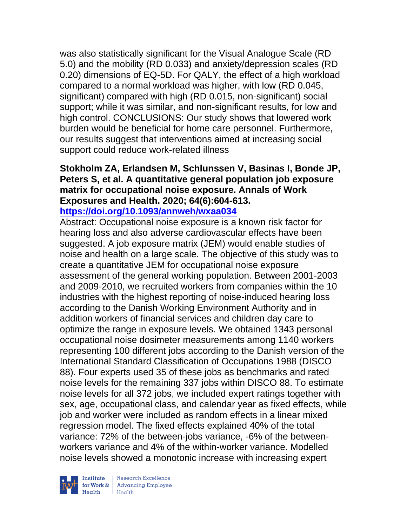was also statistically significant for the Visual Analogue Scale (RD 5.0) and the mobility (RD 0.033) and anxiety/depression scales (RD 0.20) dimensions of EQ-5D. For QALY, the effect of a high workload compared to a normal workload was higher, with low (RD 0.045, significant) compared with high (RD 0.015, non-significant) social support; while it was similar, and non-significant results, for low and high control. CONCLUSIONS: Our study shows that lowered work burden would be beneficial for home care personnel. Furthermore, our results suggest that interventions aimed at increasing social support could reduce work-related illness

# **Stokholm ZA, Erlandsen M, Schlunssen V, Basinas I, Bonde JP, Peters S, et al. A quantitative general population job exposure matrix for occupational noise exposure. Annals of Work Exposures and Health. 2020; 64(6):604-613.**

**<https://doi.org/10.1093/annweh/wxaa034>** 

Abstract: Occupational noise exposure is a known risk factor for hearing loss and also adverse cardiovascular effects have been suggested. A job exposure matrix (JEM) would enable studies of noise and health on a large scale. The objective of this study was to create a quantitative JEM for occupational noise exposure assessment of the general working population. Between 2001-2003 and 2009-2010, we recruited workers from companies within the 10 industries with the highest reporting of noise-induced hearing loss according to the Danish Working Environment Authority and in addition workers of financial services and children day care to optimize the range in exposure levels. We obtained 1343 personal occupational noise dosimeter measurements among 1140 workers representing 100 different jobs according to the Danish version of the International Standard Classification of Occupations 1988 (DISCO 88). Four experts used 35 of these jobs as benchmarks and rated noise levels for the remaining 337 jobs within DISCO 88. To estimate noise levels for all 372 jobs, we included expert ratings together with sex, age, occupational class, and calendar year as fixed effects, while job and worker were included as random effects in a linear mixed regression model. The fixed effects explained 40% of the total variance: 72% of the between-jobs variance, -6% of the betweenworkers variance and 4% of the within-worker variance. Modelled noise levels showed a monotonic increase with increasing expert

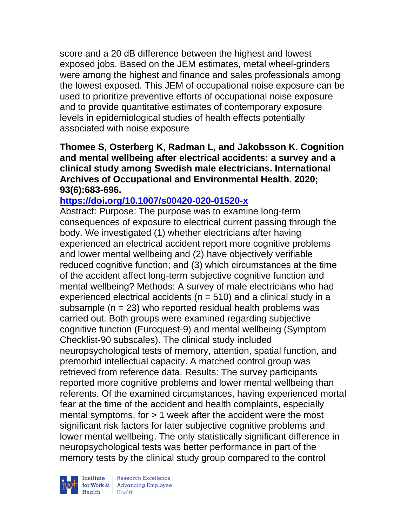score and a 20 dB difference between the highest and lowest exposed jobs. Based on the JEM estimates, metal wheel-grinders were among the highest and finance and sales professionals among the lowest exposed. This JEM of occupational noise exposure can be used to prioritize preventive efforts of occupational noise exposure and to provide quantitative estimates of contemporary exposure levels in epidemiological studies of health effects potentially associated with noise exposure

### **Thomee S, Osterberg K, Radman L, and Jakobsson K. Cognition and mental wellbeing after electrical accidents: a survey and a clinical study among Swedish male electricians. International Archives of Occupational and Environmental Health. 2020; 93(6):683-696.**

## **<https://doi.org/10.1007/s00420-020-01520-x>**

Abstract: Purpose: The purpose was to examine long-term consequences of exposure to electrical current passing through the body. We investigated (1) whether electricians after having experienced an electrical accident report more cognitive problems and lower mental wellbeing and (2) have objectively verifiable reduced cognitive function; and (3) which circumstances at the time of the accident affect long-term subjective cognitive function and mental wellbeing? Methods: A survey of male electricians who had experienced electrical accidents ( $n = 510$ ) and a clinical study in a subsample ( $n = 23$ ) who reported residual health problems was carried out. Both groups were examined regarding subjective cognitive function (Euroquest-9) and mental wellbeing (Symptom Checklist-90 subscales). The clinical study included neuropsychological tests of memory, attention, spatial function, and premorbid intellectual capacity. A matched control group was retrieved from reference data. Results: The survey participants reported more cognitive problems and lower mental wellbeing than referents. Of the examined circumstances, having experienced mortal fear at the time of the accident and health complaints, especially mental symptoms, for  $> 1$  week after the accident were the most significant risk factors for later subjective cognitive problems and lower mental wellbeing. The only statistically significant difference in neuropsychological tests was better performance in part of the memory tests by the clinical study group compared to the control



| Research Excellence for Work & Advancing Employee<br>Health Health